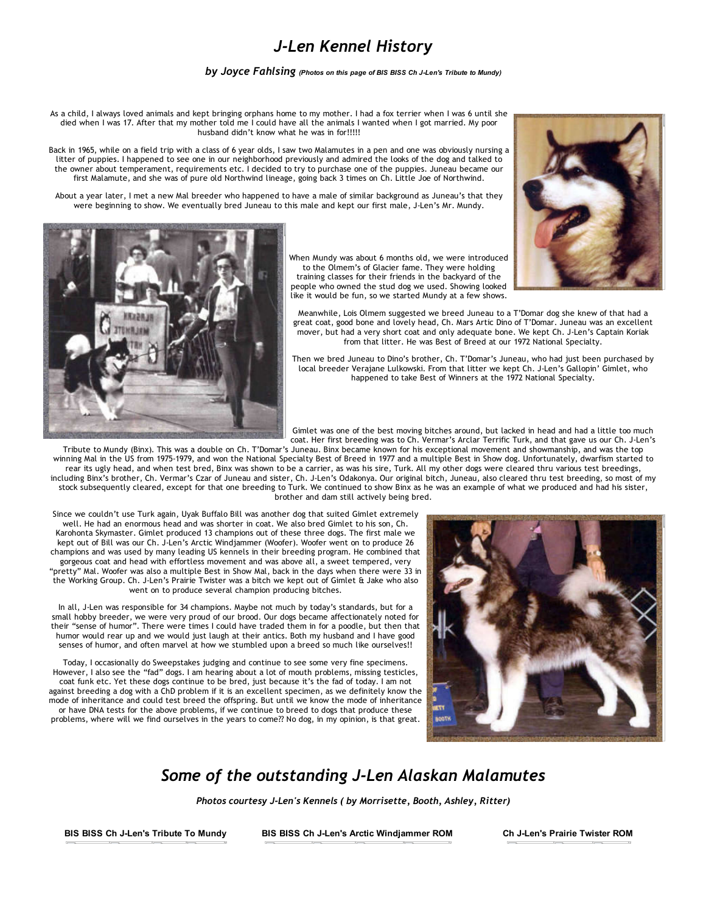## *J‐Len Kennel History*

*by Joyce Fahlsing (Photos on this page of BIS BISS Ch JLen's Tribute to Mundy)*

As a child, I always loved animals and kept bringing orphans home to my mother. I had a fox terrier when I was 6 until she died when I was 17. After that my mother told me I could have all the animals I wanted when I got married. My poor husband didn't know what he was in for!!!!!

Back in 1965, while on a field trip with a class of 6 year olds, I saw two Malamutes in a pen and one was obviously nursing a litter of puppies. I happened to see one in our neighborhood previously and admired the looks of the dog and talked to the owner about temperament, requirements etc. I decided to try to purchase one of the puppies. Juneau became our first Malamute, and she was of pure old Northwind lineage, going back 3 times on Ch. Little Joe of Northwind.

About a year later, I met a new Mal breeder who happened to have a male of similar background as Juneau's that they were beginning to show. We eventually bred Juneau to this male and kept our first male, J‐Len's Mr. Mundy.





When Mundy was about 6 months old, we were introduced to the Olmem's of Glacier fame. They were holding training classes for their friends in the backyard of the people who owned the stud dog we used. Showing looked like it would be fun, so we started Mundy at a few shows.

Meanwhile, Lois Olmem suggested we breed Juneau to a T'Domar dog she knew of that had a great coat, good bone and lovely head, Ch. Mars Artic Dino of T'Domar. Juneau was an excellent mover, but had a very short coat and only adequate bone. We kept Ch. J-Len's Captain Koriak from that litter. He was Best of Breed at our 1972 National Specialty.

Then we bred Juneau to Dino's brother, Ch. T'Domar's Juneau, who had just been purchased by local breeder Verajane Lulkowski. From that litter we kept Ch. J‐Len's Gallopin' Gimlet, who happened to take Best of Winners at the 1972 National Specialty.

Gimlet was one of the best moving bitches around, but lacked in head and had a little too much coat. Her first breeding was to Ch. Vermar's Arclar Terrific Turk, and that gave us our Ch. J‐Len's

Tribute to Mundy (Binx). This was a double on Ch. T'Domar's Juneau. Binx became known for his exceptional movement and showmanship, and was the top winning Mal in the US from 1975‐1979, and won the National Specialty Best of Breed in 1977 and a multiple Best in Show dog. Unfortunately, dwarfism started to rear its ugly head, and when test bred, Binx was shown to be a carrier, as was his sire, Turk. All my other dogs were cleared thru various test breedings, including Binx's brother, Ch. Vermar's Czar of Juneau and sister, Ch. J-Len's Odakonya. Our original bitch, Juneau, also cleared thru test breeding, so most of my stock subsequently cleared, except for that one breeding to Turk. We continued to show Binx as he was an example of what we produced and had his sister, brother and dam still actively being bred.

Since we couldn't use Turk again, Uyak Buffalo Bill was another dog that suited Gimlet extremely well. He had an enormous head and was shorter in coat. We also bred Gimlet to his son, Ch. Karohonta Skymaster. Gimlet produced 13 champions out of these three dogs. The first male we kept out of Bill was our Ch. J-Len's Arctic Windjammer (Woofer). Woofer went on to produce 26 champions and was used by many leading US kennels in their breeding program. He combined that gorgeous coat and head with effortless movement and was above all, a sweet tempered, very "pretty" Mal. Woofer was also a multiple Best in Show Mal, back in the days when there were 33 in the Working Group. Ch. J‐Len's Prairie Twister was a bitch we kept out of Gimlet & Jake who also went on to produce several champion producing bitches.

In all, J-Len was responsible for 34 champions. Maybe not much by today's standards, but for a small hobby breeder, we were very proud of our brood. Our dogs became affectionately noted for their "sense of humor". There were times I could have traded them in for a poodle, but then that humor would rear up and we would just laugh at their antics. Both my husband and I have good senses of humor, and often marvel at how we stumbled upon a breed so much like ourselves!!

Today, I occasionally do Sweepstakes judging and continue to see some very fine specimens. However, I also see the "fad" dogs. I am hearing about a lot of mouth problems, missing testicles, coat funk etc. Yet these dogs continue to be bred, just because it's the fad of today. I am not against breeding a dog with a ChD problem if it is an excellent specimen, as we definitely know the mode of inheritance and could test breed the offspring. But until we know the mode of inheritance or have DNA tests for the above problems, if we continue to breed to dogs that produce these

problems, where will we find ourselves in the years to come?? No dog, in my opinion, is that great.



## *Some of the outstanding J‐Len Alaskan Malamutes*

*Photos courtesy J‐Len's Kennels ( by Morrisette, Booth, Ashley, Ritter)*

BIS BISS Ch JLen's Tribute To Mundy BIS BISS Ch JLen's Arctic Windjammer ROM Ch JLen's Prairie Twister ROM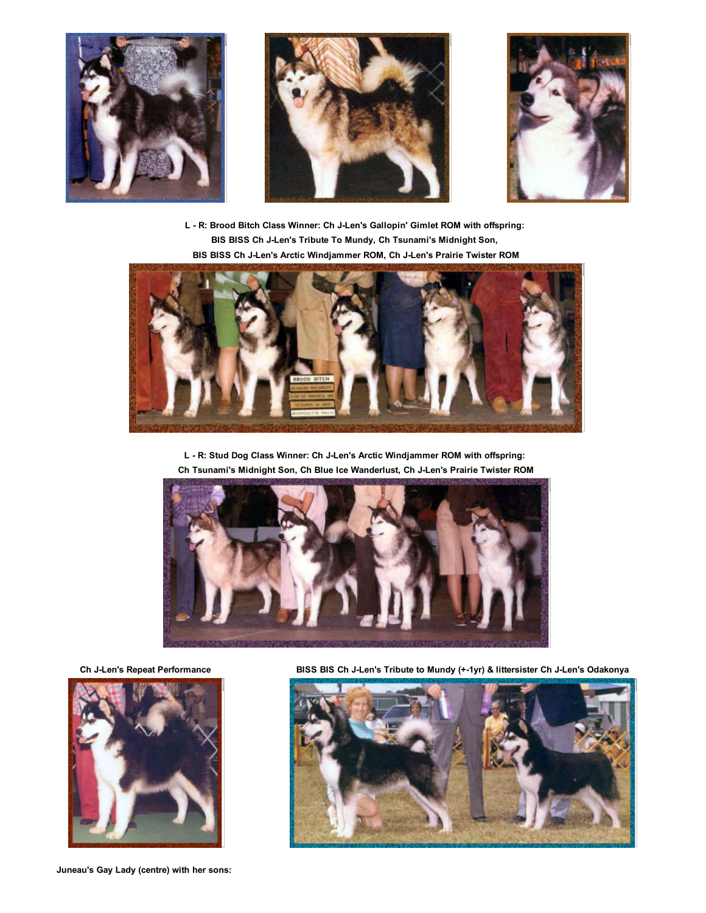





L - R: Brood Bitch Class Winner: Ch J-Len's Gallopin' Gimlet ROM with offspring: BIS BISS Ch J-Len's Tribute To Mundy, Ch Tsunami's Midnight Son, BIS BISS Ch JLen's Arctic Windjammer ROM, Ch JLen's Prairie Twister ROM



L - R: Stud Dog Class Winner: Ch J-Len's Arctic Windjammer ROM with offspring:

Ch Tsunami's Midnight Son, Ch Blue Ice Wanderlust, Ch JLen's Prairie Twister ROM





Juneau's Gay Lady (centre) with her sons:

Ch JLen's Repeat Performance BISS BIS Ch JLen's Tribute to Mundy (+1yr) & littersister Ch JLen's Odakonya